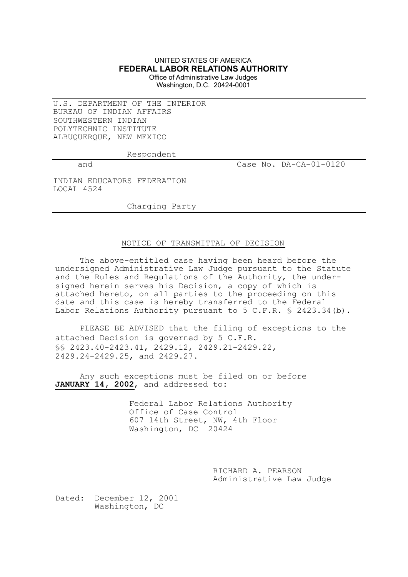# UNITED STATES OF AMERICA **FEDERAL LABOR RELATIONS AUTHORITY**

Office of Administrative Law Judges Washington, D.C. 20424-0001

| U.S. DEPARTMENT OF THE INTERIOR<br>BUREAU OF INDIAN AFFAIRS<br>SOUTHWESTERN INDIAN<br> POLYTECHNIC INSTITUTE<br>ALBUQUERQUE, NEW MEXICO |                        |
|-----------------------------------------------------------------------------------------------------------------------------------------|------------------------|
| Respondent                                                                                                                              |                        |
| and                                                                                                                                     | Case No. DA-CA-01-0120 |
| IINDIAN EDUCATORS FEDERATION<br>LOCAL 4524                                                                                              |                        |
| Charging Party                                                                                                                          |                        |

## NOTICE OF TRANSMITTAL OF DECISION

The above-entitled case having been heard before the undersigned Administrative Law Judge pursuant to the Statute and the Rules and Regulations of the Authority, the undersigned herein serves his Decision, a copy of which is attached hereto, on all parties to the proceeding on this date and this case is hereby transferred to the Federal Labor Relations Authority pursuant to 5 C.F.R. § 2423.34 (b).

PLEASE BE ADVISED that the filing of exceptions to the attached Decision is governed by 5 C.F.R. §§ 2423.40-2423.41, 2429.12, 2429.21-2429.22, 2429.24-2429.25, and 2429.27.

Any such exceptions must be filed on or before JANUARY 14, 2002, and addressed to:

> Federal Labor Relations Authority Office of Case Control 607 14th Street, NW, 4th Floor Washington, DC 20424

> > RICHARD A. PEARSON Administrative Law Judge

Dated: December 12, 2001 Washington, DC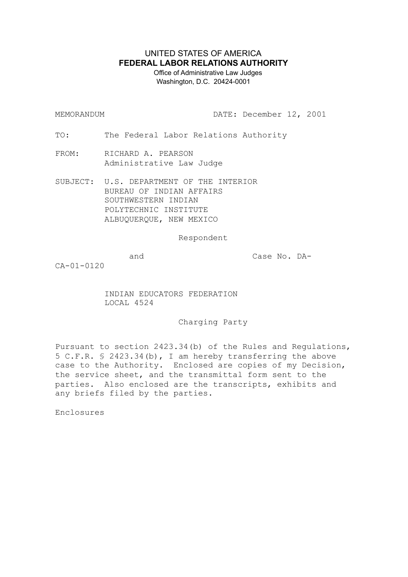# UNITED STATES OF AMERICA **FEDERAL LABOR RELATIONS AUTHORITY**

 Office of Administrative Law Judges Washington, D.C. 20424-0001

MEMORANDUM DATE: December 12, 2001

TO: The Federal Labor Relations Authority

FROM: RICHARD A. PEARSON Administrative Law Judge

SUBJECT: U.S. DEPARTMENT OF THE INTERIOR BUREAU OF INDIAN AFFAIRS SOUTHWESTERN INDIAN POLYTECHNIC INSTITUTE ALBUQUERQUE, NEW MEXICO

Respondent

and Case No. DA-

CA-01-0120

INDIAN EDUCATORS FEDERATION LOCAL 4524

Charging Party

Pursuant to section 2423.34(b) of the Rules and Regulations, 5 C.F.R. § 2423.34(b), I am hereby transferring the above case to the Authority. Enclosed are copies of my Decision, the service sheet, and the transmittal form sent to the parties. Also enclosed are the transcripts, exhibits and any briefs filed by the parties.

Enclosures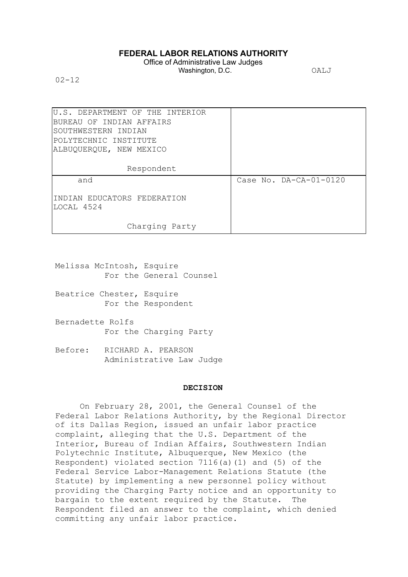## **FEDERAL LABOR RELATIONS AUTHORITY**

Office of Administrative Law Judges Washington, D.C. **OALJ** 

 $02 - 12$ 

| U.S. DEPARTMENT OF THE INTERIOR |                          |
|---------------------------------|--------------------------|
| BUREAU OF INDIAN AFFAIRS        |                          |
| SOUTHWESTERN INDIAN             |                          |
| POLYTECHNIC INSTITUTE           |                          |
| ALBUQUERQUE, NEW MEXICO         |                          |
|                                 |                          |
| Respondent                      |                          |
| and                             | Case No. $DA-CA-01-0120$ |
|                                 |                          |
| INDIAN EDUCATORS FEDERATION     |                          |
| LOCAL 4524                      |                          |
|                                 |                          |
| Charging Party                  |                          |
|                                 |                          |

- Melissa McIntosh, Esquire For the General Counsel
- Beatrice Chester, Esquire For the Respondent
- Bernadette Rolfs For the Charging Party
- Before: RICHARD A. PEARSON Administrative Law Judge

### **DECISION**

On February 28, 2001, the General Counsel of the Federal Labor Relations Authority, by the Regional Director of its Dallas Region, issued an unfair labor practice complaint, alleging that the U.S. Department of the Interior, Bureau of Indian Affairs, Southwestern Indian Polytechnic Institute, Albuquerque, New Mexico (the Respondent) violated section 7116(a)(1) and (5) of the Federal Service Labor-Management Relations Statute (the Statute) by implementing a new personnel policy without providing the Charging Party notice and an opportunity to bargain to the extent required by the Statute. The Respondent filed an answer to the complaint, which denied committing any unfair labor practice.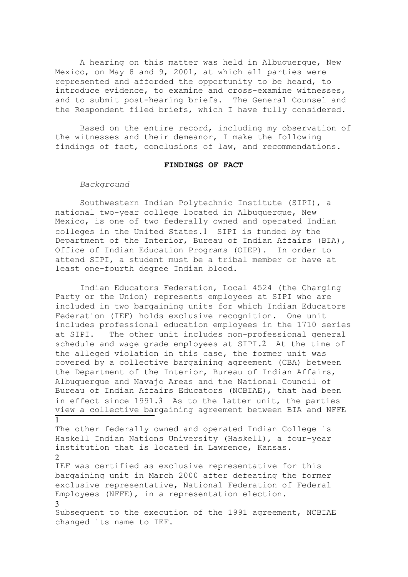A hearing on this matter was held in Albuquerque, New Mexico, on May 8 and 9, 2001, at which all parties were represented and afforded the opportunity to be heard, to introduce evidence, to examine and cross-examine witnesses, and to submit post-hearing briefs. The General Counsel and the Respondent filed briefs, which I have fully considered.

Based on the entire record, including my observation of the witnesses and their demeanor, I make the following findings of fact, conclusions of law, and recommendations.

#### **FINDINGS OF FACT**

#### *Background*

Southwestern Indian Polytechnic Institute (SIPI), a national two-year college located in Albuquerque, New Mexico, is one of two federally owned and operated Indian colleges in the United States.1 SIPI is funded by the Department of the Interior, Bureau of Indian Affairs (BIA), Office of Indian Education Programs (OIEP). In order to attend SIPI, a student must be a tribal member or have at least one-fourth degree Indian blood.

Indian Educators Federation, Local 4524 (the Charging Party or the Union) represents employees at SIPI who are included in two bargaining units for which Indian Educators Federation (IEF) holds exclusive recognition. One unit includes professional education employees in the 1710 series at SIPI. The other unit includes non-professional general schedule and wage grade employees at SIPI.2 At the time of the alleged violation in this case, the former unit was covered by a collective bargaining agreement (CBA) between the Department of the Interior, Bureau of Indian Affairs, Albuquerque and Navajo Areas and the National Council of Bureau of Indian Affairs Educators (NCBIAE), that had been in effect since 1991.3 As to the latter unit, the parties view a collective bargaining agreement between BIA and NFFE  $\overline{1}$ 

The other federally owned and operated Indian College is Haskell Indian Nations University (Haskell), a four-year institution that is located in Lawrence, Kansas. 2

IEF was certified as exclusive representative for this bargaining unit in March 2000 after defeating the former exclusive representative, National Federation of Federal Employees (NFFE), in a representation election. 3

Subsequent to the execution of the 1991 agreement, NCBIAE changed its name to IEF.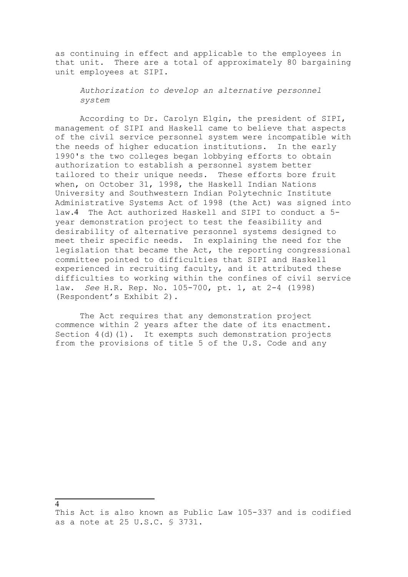as continuing in effect and applicable to the employees in that unit. There are a total of approximately 80 bargaining unit employees at SIPI.

*Authorization to develop an alternative personnel system*

According to Dr. Carolyn Elgin, the president of SIPI, management of SIPI and Haskell came to believe that aspects of the civil service personnel system were incompatible with the needs of higher education institutions. In the early 1990's the two colleges began lobbying efforts to obtain authorization to establish a personnel system better tailored to their unique needs. These efforts bore fruit when, on October 31, 1998, the Haskell Indian Nations University and Southwestern Indian Polytechnic Institute Administrative Systems Act of 1998 (the Act) was signed into law.4 The Act authorized Haskell and SIPI to conduct a 5 year demonstration project to test the feasibility and desirability of alternative personnel systems designed to meet their specific needs. In explaining the need for the legislation that became the Act, the reporting congressional committee pointed to difficulties that SIPI and Haskell experienced in recruiting faculty, and it attributed these difficulties to working within the confines of civil service law. *See* H.R. Rep. No. 105-700, pt. 1, at 2-4 (1998) (Respondent's Exhibit 2).

The Act requires that any demonstration project commence within 2 years after the date of its enactment. Section 4(d)(1). It exempts such demonstration projects from the provisions of title 5 of the U.S. Code and any

```
4
```
This Act is also known as Public Law 105-337 and is codified as a note at 25 U.S.C. § 3731.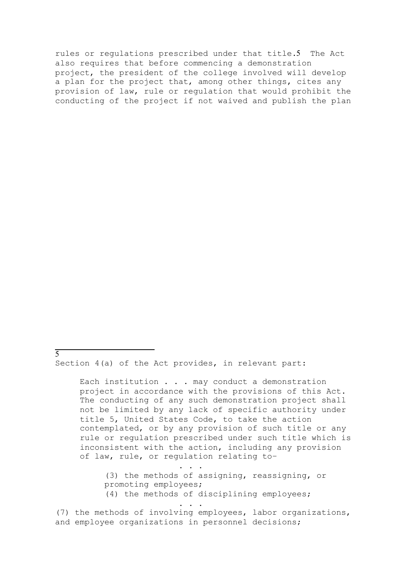rules or regulations prescribed under that title.5 The Act also requires that before commencing a demonstration project, the president of the college involved will develop a plan for the project that, among other things, cites any provision of law, rule or regulation that would prohibit the conducting of the project if not waived and publish the plan

Section 4(a) of the Act provides, in relevant part:

 $\overline{5}$ 

Each institution . . . may conduct a demonstration project in accordance with the provisions of this Act. The conducting of any such demonstration project shall not be limited by any lack of specific authority under title 5, United States Code, to take the action contemplated, or by any provision of such title or any rule or regulation prescribed under such title which is inconsistent with the action, including any provision of law, rule, or regulation relating to–

. . . (3) the methods of assigning, reassigning, or promoting employees;

(4) the methods of disciplining employees;

. . .

(7) the methods of involving employees, labor organizations, and employee organizations in personnel decisions;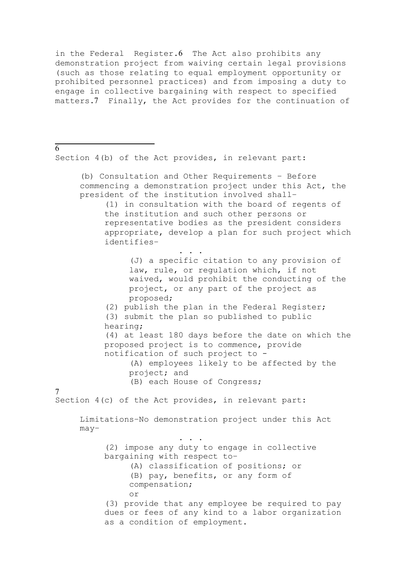in the Federal Register.6 The Act also prohibits any demonstration project from waiving certain legal provisions (such as those relating to equal employment opportunity or prohibited personnel practices) and from imposing a duty to engage in collective bargaining with respect to specified matters.7 Finally, the Act provides for the continuation of

Section 4(b) of the Act provides, in relevant part:

 $\overline{6}$ 

(b) Consultation and Other Requirements – Before commencing a demonstration project under this Act, the president of the institution involved shall– (1) in consultation with the board of regents of the institution and such other persons or representative bodies as the president considers appropriate, develop a plan for such project which identifies– . . . (J) a specific citation to any provision of law, rule, or regulation which, if not waived, would prohibit the conducting of the project, or any part of the project as proposed; (2) publish the plan in the Federal Register; (3) submit the plan so published to public hearing; (4) at least 180 days before the date on which the proposed project is to commence, provide notification of such project to - (A) employees likely to be affected by the project; and (B) each House of Congress; 7 Section 4(c) of the Act provides, in relevant part: Limitations–No demonstration project under this Act may– . . . (2) impose any duty to engage in collective bargaining with respect to– (A) classification of positions; or (B) pay, benefits, or any form of compensation; or (3) provide that any employee be required to pay dues or fees of any kind to a labor organization as a condition of employment.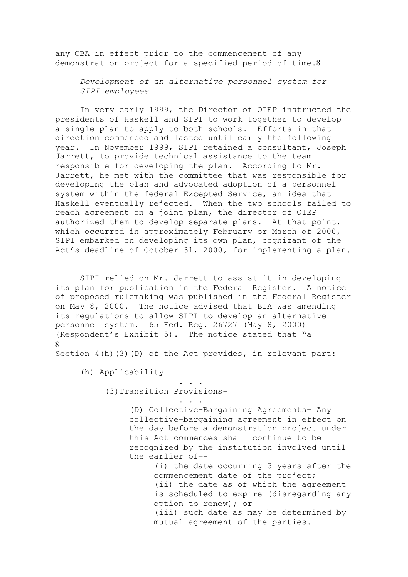any CBA in effect prior to the commencement of any demonstration project for a specified period of time.8

*Development of an alternative personnel system for SIPI employees*

In very early 1999, the Director of OIEP instructed the presidents of Haskell and SIPI to work together to develop a single plan to apply to both schools. Efforts in that direction commenced and lasted until early the following year. In November 1999, SIPI retained a consultant, Joseph Jarrett, to provide technical assistance to the team responsible for developing the plan. According to Mr. Jarrett, he met with the committee that was responsible for developing the plan and advocated adoption of a personnel system within the federal Excepted Service, an idea that Haskell eventually rejected. When the two schools failed to reach agreement on a joint plan, the director of OIEP authorized them to develop separate plans. At that point, which occurred in approximately February or March of 2000, SIPI embarked on developing its own plan, cognizant of the Act's deadline of October 31, 2000, for implementing a plan.

SIPI relied on Mr. Jarrett to assist it in developing its plan for publication in the Federal Register. A notice of proposed rulemaking was published in the Federal Register on May 8, 2000. The notice advised that BIA was amending its regulations to allow SIPI to develop an alternative personnel system. 65 Fed. Reg. 26727 (May 8, 2000) (Respondent's Exhibit 5). The notice stated that "a 8

Section  $4(h)(3)(D)$  of the Act provides, in relevant part:

. . .

. . .

(h) Applicability-

(3)Transition Provisions-

(D) Collective-Bargaining Agreements– Any collective-bargaining agreement in effect on the day before a demonstration project under this Act commences shall continue to be recognized by the institution involved until the earlier of–-

> (i) the date occurring 3 years after the commencement date of the project; (ii) the date as of which the agreement is scheduled to expire (disregarding any option to renew); or (iii) such date as may be determined by mutual agreement of the parties.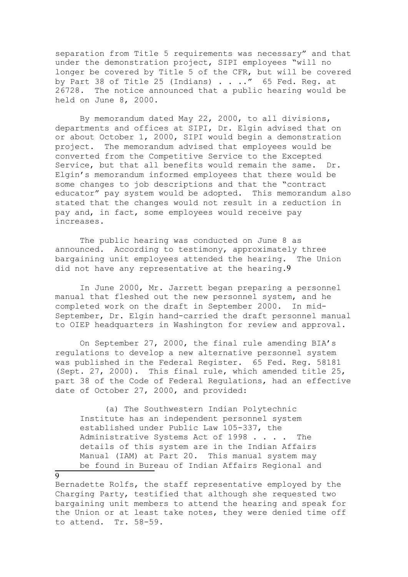separation from Title 5 requirements was necessary" and that under the demonstration project, SIPI employees "will no longer be covered by Title 5 of the CFR, but will be covered by Part 38 of Title 25 (Indians) . . .." 65 Fed. Req. at 26728. The notice announced that a public hearing would be held on June 8, 2000.

By memorandum dated May 22, 2000, to all divisions, departments and offices at SIPI, Dr. Elgin advised that on or about October 1, 2000, SIPI would begin a demonstration project. The memorandum advised that employees would be converted from the Competitive Service to the Excepted Service, but that all benefits would remain the same. Dr. Elgin's memorandum informed employees that there would be some changes to job descriptions and that the "contract educator" pay system would be adopted. This memorandum also stated that the changes would not result in a reduction in pay and, in fact, some employees would receive pay increases.

The public hearing was conducted on June 8 as announced. According to testimony, approximately three bargaining unit employees attended the hearing. The Union did not have any representative at the hearing.9

In June 2000, Mr. Jarrett began preparing a personnel manual that fleshed out the new personnel system, and he completed work on the draft in September 2000. In mid-September, Dr. Elgin hand-carried the draft personnel manual to OIEP headquarters in Washington for review and approval.

On September 27, 2000, the final rule amending BIA's regulations to develop a new alternative personnel system was published in the Federal Register. 65 Fed. Reg. 58181 (Sept. 27, 2000). This final rule, which amended title 25, part 38 of the Code of Federal Regulations, had an effective date of October 27, 2000, and provided:

(a) The Southwestern Indian Polytechnic Institute has an independent personnel system established under Public Law 105-337, the Administrative Systems Act of 1998 . . . . The details of this system are in the Indian Affairs Manual (IAM) at Part 20. This manual system may be found in Bureau of Indian Affairs Regional and

 $\overline{Q}$ 

Bernadette Rolfs, the staff representative employed by the Charging Party, testified that although she requested two bargaining unit members to attend the hearing and speak for the Union or at least take notes, they were denied time off to attend. Tr. 58-59.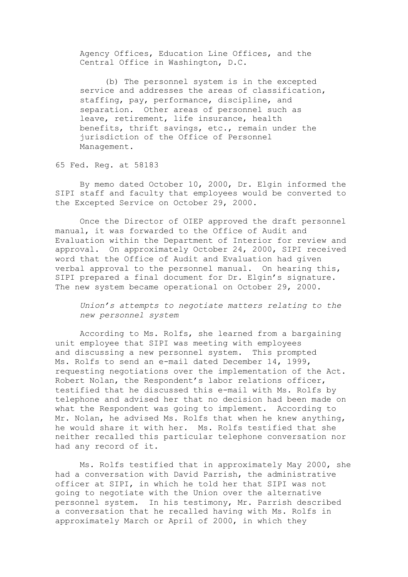Agency Offices, Education Line Offices, and the Central Office in Washington, D.C.

(b) The personnel system is in the excepted service and addresses the areas of classification, staffing, pay, performance, discipline, and separation. Other areas of personnel such as leave, retirement, life insurance, health benefits, thrift savings, etc., remain under the jurisdiction of the Office of Personnel Management.

65 Fed. Reg. at 58183

By memo dated October 10, 2000, Dr. Elgin informed the SIPI staff and faculty that employees would be converted to the Excepted Service on October 29, 2000.

Once the Director of OIEP approved the draft personnel manual, it was forwarded to the Office of Audit and Evaluation within the Department of Interior for review and approval. On approximately October 24, 2000, SIPI received word that the Office of Audit and Evaluation had given verbal approval to the personnel manual. On hearing this, SIPI prepared a final document for Dr. Elgin's signature. The new system became operational on October 29, 2000.

*Union's attempts to negotiate matters relating to the new personnel system*

According to Ms. Rolfs, she learned from a bargaining unit employee that SIPI was meeting with employees and discussing a new personnel system. This prompted Ms. Rolfs to send an e-mail dated December 14, 1999, requesting negotiations over the implementation of the Act. Robert Nolan, the Respondent's labor relations officer, testified that he discussed this e-mail with Ms. Rolfs by telephone and advised her that no decision had been made on what the Respondent was going to implement. According to Mr. Nolan, he advised Ms. Rolfs that when he knew anything, he would share it with her. Ms. Rolfs testified that she neither recalled this particular telephone conversation nor had any record of it.

Ms. Rolfs testified that in approximately May 2000, she had a conversation with David Parrish, the administrative officer at SIPI, in which he told her that SIPI was not going to negotiate with the Union over the alternative personnel system. In his testimony, Mr. Parrish described a conversation that he recalled having with Ms. Rolfs in approximately March or April of 2000, in which they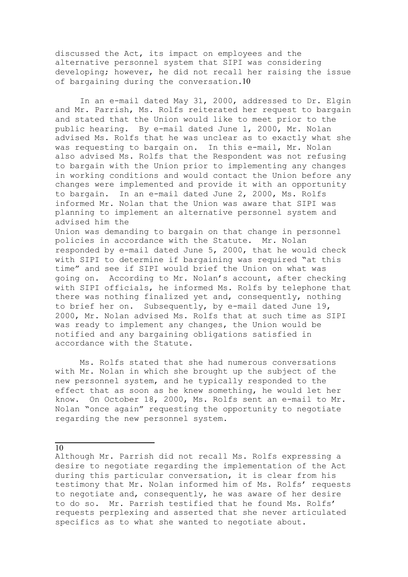discussed the Act, its impact on employees and the alternative personnel system that SIPI was considering developing; however, he did not recall her raising the issue of bargaining during the conversation.10

In an e-mail dated May 31, 2000, addressed to Dr. Elgin and Mr. Parrish, Ms. Rolfs reiterated her request to bargain and stated that the Union would like to meet prior to the public hearing. By e-mail dated June 1, 2000, Mr. Nolan advised Ms. Rolfs that he was unclear as to exactly what she was requesting to bargain on. In this e-mail, Mr. Nolan also advised Ms. Rolfs that the Respondent was not refusing to bargain with the Union prior to implementing any changes in working conditions and would contact the Union before any changes were implemented and provide it with an opportunity to bargain. In an e-mail dated June 2, 2000, Ms. Rolfs informed Mr. Nolan that the Union was aware that SIPI was planning to implement an alternative personnel system and advised him the

Union was demanding to bargain on that change in personnel policies in accordance with the Statute. Mr. Nolan responded by e-mail dated June 5, 2000, that he would check with SIPI to determine if bargaining was required "at this time" and see if SIPI would brief the Union on what was going on. According to Mr. Nolan's account, after checking with SIPI officials, he informed Ms. Rolfs by telephone that there was nothing finalized yet and, consequently, nothing to brief her on. Subsequently, by e-mail dated June 19, 2000, Mr. Nolan advised Ms. Rolfs that at such time as SIPI was ready to implement any changes, the Union would be notified and any bargaining obligations satisfied in accordance with the Statute.

Ms. Rolfs stated that she had numerous conversations with Mr. Nolan in which she brought up the subject of the new personnel system, and he typically responded to the effect that as soon as he knew something, he would let her know. On October 18, 2000, Ms. Rolfs sent an e-mail to Mr. Nolan "once again" requesting the opportunity to negotiate regarding the new personnel system.

10

Although Mr. Parrish did not recall Ms. Rolfs expressing a desire to negotiate regarding the implementation of the Act during this particular conversation, it is clear from his testimony that Mr. Nolan informed him of Ms. Rolfs' requests to negotiate and, consequently, he was aware of her desire to do so. Mr. Parrish testified that he found Ms. Rolfs' requests perplexing and asserted that she never articulated specifics as to what she wanted to negotiate about.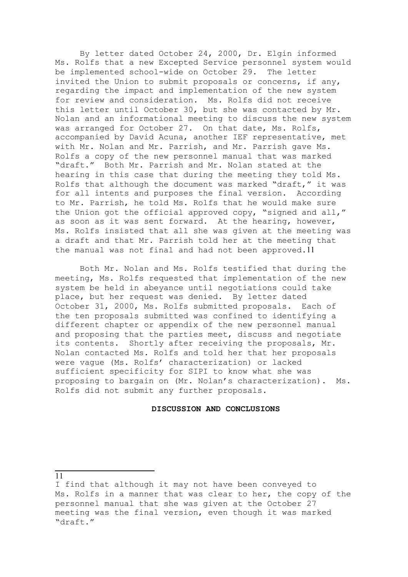By letter dated October 24, 2000, Dr. Elgin informed Ms. Rolfs that a new Excepted Service personnel system would be implemented school-wide on October 29. The letter invited the Union to submit proposals or concerns, if any, regarding the impact and implementation of the new system for review and consideration. Ms. Rolfs did not receive this letter until October 30, but she was contacted by Mr. Nolan and an informational meeting to discuss the new system was arranged for October 27. On that date, Ms. Rolfs, accompanied by David Acuna, another IEF representative, met with Mr. Nolan and Mr. Parrish, and Mr. Parrish gave Ms. Rolfs a copy of the new personnel manual that was marked "draft." Both Mr. Parrish and Mr. Nolan stated at the hearing in this case that during the meeting they told Ms. Rolfs that although the document was marked "draft," it was for all intents and purposes the final version. According to Mr. Parrish, he told Ms. Rolfs that he would make sure the Union got the official approved copy, "signed and all," as soon as it was sent forward. At the hearing, however, Ms. Rolfs insisted that all she was given at the meeting was a draft and that Mr. Parrish told her at the meeting that the manual was not final and had not been approved.11

Both Mr. Nolan and Ms. Rolfs testified that during the meeting, Ms. Rolfs requested that implementation of the new system be held in abeyance until negotiations could take place, but her request was denied. By letter dated October 31, 2000, Ms. Rolfs submitted proposals. Each of the ten proposals submitted was confined to identifying a different chapter or appendix of the new personnel manual and proposing that the parties meet, discuss and negotiate its contents. Shortly after receiving the proposals, Mr. Nolan contacted Ms. Rolfs and told her that her proposals were vague (Ms. Rolfs' characterization) or lacked sufficient specificity for SIPI to know what she was proposing to bargain on (Mr. Nolan's characterization). Ms. Rolfs did not submit any further proposals.

### **DISCUSSION AND CONCLUSIONS**

<sup>11</sup>

I find that although it may not have been conveyed to Ms. Rolfs in a manner that was clear to her, the copy of the personnel manual that she was given at the October 27 meeting was the final version, even though it was marked "draft."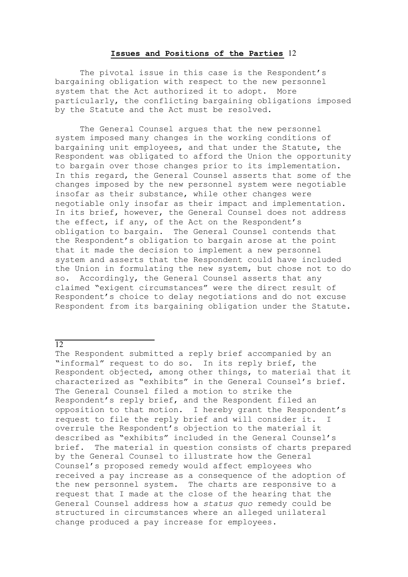### **Issues and Positions of the Parties** 12

The pivotal issue in this case is the Respondent's bargaining obligation with respect to the new personnel system that the Act authorized it to adopt. More particularly, the conflicting bargaining obligations imposed by the Statute and the Act must be resolved.

The General Counsel argues that the new personnel system imposed many changes in the working conditions of bargaining unit employees, and that under the Statute, the Respondent was obligated to afford the Union the opportunity to bargain over those changes prior to its implementation. In this regard, the General Counsel asserts that some of the changes imposed by the new personnel system were negotiable insofar as their substance, while other changes were negotiable only insofar as their impact and implementation. In its brief, however, the General Counsel does not address the effect, if any, of the Act on the Respondent's obligation to bargain. The General Counsel contends that the Respondent's obligation to bargain arose at the point that it made the decision to implement a new personnel system and asserts that the Respondent could have included the Union in formulating the new system, but chose not to do so. Accordingly, the General Counsel asserts that any claimed "exigent circumstances" were the direct result of Respondent's choice to delay negotiations and do not excuse Respondent from its bargaining obligation under the Statute.

# 12

The Respondent submitted a reply brief accompanied by an "informal" request to do so. In its reply brief, the Respondent objected, among other things, to material that it characterized as "exhibits" in the General Counsel's brief. The General Counsel filed a motion to strike the Respondent's reply brief, and the Respondent filed an opposition to that motion. I hereby grant the Respondent's request to file the reply brief and will consider it. I overrule the Respondent's objection to the material it described as "exhibits" included in the General Counsel's brief. The material in question consists of charts prepared by the General Counsel to illustrate how the General Counsel's proposed remedy would affect employees who received a pay increase as a consequence of the adoption of the new personnel system. The charts are responsive to a request that I made at the close of the hearing that the General Counsel address how a *status quo* remedy could be structured in circumstances where an alleged unilateral change produced a pay increase for employees.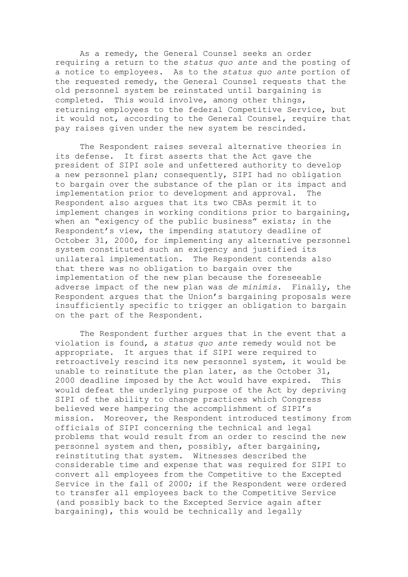As a remedy, the General Counsel seeks an order requiring a return to the *status quo ante* and the posting of a notice to employees. As to the *status quo ante* portion of the requested remedy, the General Counsel requests that the old personnel system be reinstated until bargaining is completed. This would involve, among other things, returning employees to the federal Competitive Service, but it would not, according to the General Counsel, require that pay raises given under the new system be rescinded.

The Respondent raises several alternative theories in its defense. It first asserts that the Act gave the president of SIPI sole and unfettered authority to develop a new personnel plan; consequently, SIPI had no obligation to bargain over the substance of the plan or its impact and implementation prior to development and approval. The Respondent also argues that its two CBAs permit it to implement changes in working conditions prior to bargaining, when an "exigency of the public business" exists; in the Respondent's view, the impending statutory deadline of October 31, 2000, for implementing any alternative personnel system constituted such an exigency and justified its unilateral implementation. The Respondent contends also that there was no obligation to bargain over the implementation of the new plan because the foreseeable adverse impact of the new plan was *de minimis*. Finally, the Respondent argues that the Union's bargaining proposals were insufficiently specific to trigger an obligation to bargain on the part of the Respondent.

The Respondent further argues that in the event that a violation is found, a *status quo ante* remedy would not be appropriate. It argues that if SIPI were required to retroactively rescind its new personnel system, it would be unable to reinstitute the plan later, as the October 31, 2000 deadline imposed by the Act would have expired. This would defeat the underlying purpose of the Act by depriving SIPI of the ability to change practices which Congress believed were hampering the accomplishment of SIPI's mission. Moreover, the Respondent introduced testimony from officials of SIPI concerning the technical and legal problems that would result from an order to rescind the new personnel system and then, possibly, after bargaining, reinstituting that system. Witnesses described the considerable time and expense that was required for SIPI to convert all employees from the Competitive to the Excepted Service in the fall of 2000; if the Respondent were ordered to transfer all employees back to the Competitive Service (and possibly back to the Excepted Service again after bargaining), this would be technically and legally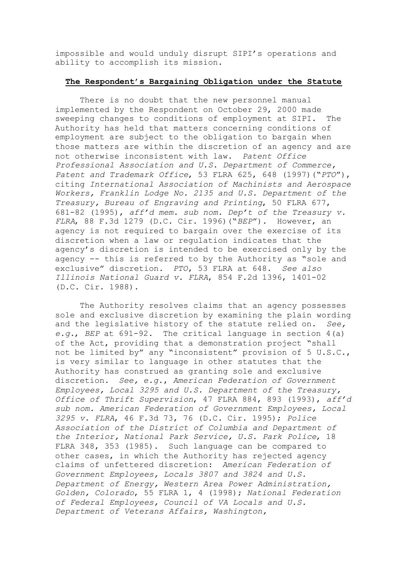impossible and would unduly disrupt SIPI's operations and ability to accomplish its mission.

## **The Respondent's Bargaining Obligation under the Statute**

There is no doubt that the new personnel manual implemented by the Respondent on October 29, 2000 made sweeping changes to conditions of employment at SIPI. The Authority has held that matters concerning conditions of employment are subject to the obligation to bargain when those matters are within the discretion of an agency and are not otherwise inconsistent with law. *Patent Office Professional Association and U.S. Department of Commerce, Patent and Trademark Office*, 53 FLRA 625, 648 (1997)("*PTO*"), citing *International Association of Machinists and Aerospace Workers, Franklin Lodge No. 2135 and U.S. Department of the Treasury, Bureau of Engraving and Printing*, 50 FLRA 677, 681-82 (1995), *aff'd mem. sub nom. Dep't of the Treasury v. FLRA*, 88 F.3d 1279 (D.C. Cir. 1996)("*BEP*"). However, an agency is not required to bargain over the exercise of its discretion when a law or regulation indicates that the agency's discretion is intended to be exercised only by the agency -- this is referred to by the Authority as "sole and exclusive" discretion. *PTO*, 53 FLRA at 648. *See also Illinois National Guard v. FLRA*, 854 F.2d 1396, 1401-02 (D.C. Cir. 1988).

The Authority resolves claims that an agency possesses sole and exclusive discretion by examining the plain wording and the legislative history of the statute relied on. *See, e.g.*, *BEP* at 691-92. The critical language in section 4(a) of the Act, providing that a demonstration project "shall not be limited by" any "inconsistent" provision of 5 U.S.C., is very similar to language in other statutes that the Authority has construed as granting sole and exclusive discretion. *See, e.g.*, *American Federation of Government Employees, Local 3295 and U.S. Department of the Treasury, Office of Thrift Supervision*, 47 FLRA 884, 893 (1993), *aff'd sub nom. American Federation of Government Employees, Local 3295 v. FLRA*, 46 F.3d 73, 76 (D.C. Cir. 1995); *Police Association of the District of Columbia and Department of the Interior, National Park Service, U.S. Park Police*, 18 FLRA 348, 353 (1985). Such language can be compared to other cases, in which the Authority has rejected agency claims of unfettered discretion: *American Federation of Government Employees, Locals 3807 and 3824 and U.S. Department of Energy, Western Area Power Administration, Golden, Colorado*, 55 FLRA 1, 4 (1998); *National Federation of Federal Employees, Council of VA Locals and U.S. Department of Veterans Affairs, Washington,*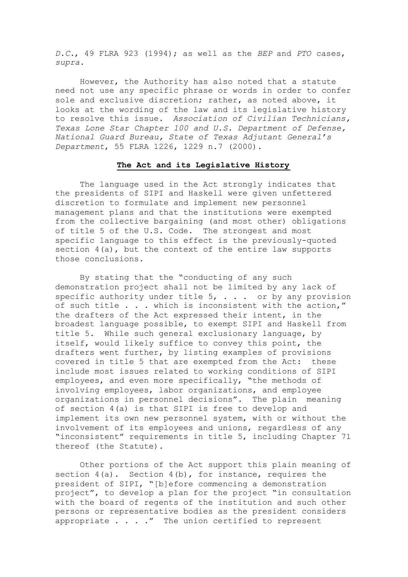*D.C.*, 49 FLRA 923 (1994); as well as the *BEP* and *PTO* cases, *supra*.

However, the Authority has also noted that a statute need not use any specific phrase or words in order to confer sole and exclusive discretion; rather, as noted above, it looks at the wording of the law and its legislative history to resolve this issue. *Association of Civilian Technicians, Texas Lone Star Chapter 100 and U.S. Department of Defense, National Guard Bureau, State of Texas Adjutant General's Department*, 55 FLRA 1226, 1229 n.7 (2000).

### **The Act and its Legislative History**

The language used in the Act strongly indicates that the presidents of SIPI and Haskell were given unfettered discretion to formulate and implement new personnel management plans and that the institutions were exempted from the collective bargaining (and most other) obligations of title 5 of the U.S. Code. The strongest and most specific language to this effect is the previously-quoted section 4(a), but the context of the entire law supports those conclusions.

By stating that the "conducting of any such demonstration project shall not be limited by any lack of specific authority under title  $5$ ,  $\ldots$  or by any provision of such title . . . which is inconsistent with the action," the drafters of the Act expressed their intent, in the broadest language possible, to exempt SIPI and Haskell from title 5. While such general exclusionary language, by itself, would likely suffice to convey this point, the drafters went further, by listing examples of provisions covered in title 5 that are exempted from the Act: these include most issues related to working conditions of SIPI employees, and even more specifically, "the methods of involving employees, labor organizations, and employee organizations in personnel decisions". The plain meaning of section 4(a) is that SIPI is free to develop and implement its own new personnel system, with or without the involvement of its employees and unions, regardless of any "inconsistent" requirements in title 5, including Chapter 71 thereof (the Statute).

Other portions of the Act support this plain meaning of section  $4(a)$ . Section  $4(b)$ , for instance, requires the president of SIPI, "[b]efore commencing a demonstration project", to develop a plan for the project "in consultation with the board of regents of the institution and such other persons or representative bodies as the president considers appropriate  $\ldots$  ." The union certified to represent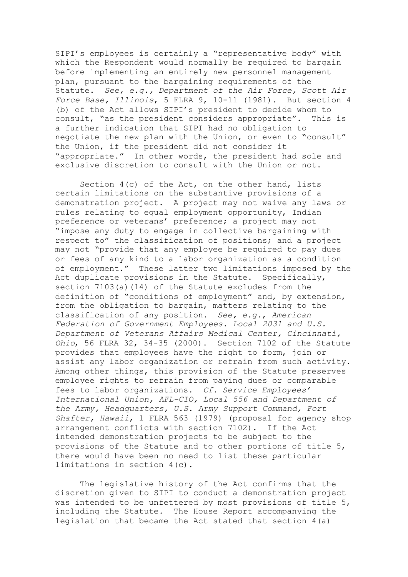SIPI's employees is certainly a "representative body" with which the Respondent would normally be required to bargain before implementing an entirely new personnel management plan, pursuant to the bargaining requirements of the Statute. *See, e.g., Department of the Air Force, Scott Air Force Base, Illinois*, 5 FLRA 9, 10-11 (1981). But section 4 (b) of the Act allows SIPI's president to decide whom to consult, "as the president considers appropriate". This is a further indication that SIPI had no obligation to negotiate the new plan with the Union, or even to "consult" the Union, if the president did not consider it "appropriate." In other words, the president had sole and exclusive discretion to consult with the Union or not.

Section 4(c) of the Act, on the other hand, lists certain limitations on the substantive provisions of a demonstration project. A project may not waive any laws or rules relating to equal employment opportunity, Indian preference or veterans' preference; a project may not "impose any duty to engage in collective bargaining with respect to" the classification of positions; and a project may not "provide that any employee be required to pay dues or fees of any kind to a labor organization as a condition of employment." These latter two limitations imposed by the Act duplicate provisions in the Statute. Specifically, section 7103(a)(14) of the Statute excludes from the definition of "conditions of employment" and, by extension, from the obligation to bargain, matters relating to the classification of any position. *See, e.g.*, *American Federation of Government Employees. Local 2031 and U.S. Department of Veterans Affairs Medical Center, Cincinnati, Ohio*, 56 FLRA 32, 34-35 (2000). Section 7102 of the Statute provides that employees have the right to form, join or assist any labor organization or refrain from such activity. Among other things, this provision of the Statute preserves employee rights to refrain from paying dues or comparable fees to labor organizations. *Cf. Service Employees' International Union, AFL-CIO, Local 556 and Department of the Army, Headquarters, U.S. Army Support Command, Fort Shafter, Hawaii*, 1 FLRA 563 (1979) (proposal for agency shop arrangement conflicts with section 7102). If the Act intended demonstration projects to be subject to the provisions of the Statute and to other portions of title 5, there would have been no need to list these particular limitations in section 4(c).

The legislative history of the Act confirms that the discretion given to SIPI to conduct a demonstration project was intended to be unfettered by most provisions of title 5, including the Statute. The House Report accompanying the legislation that became the Act stated that section 4(a)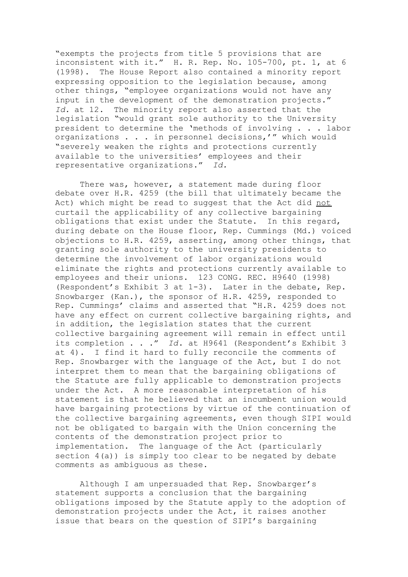"exempts the projects from title 5 provisions that are inconsistent with it." H. R. Rep. No. 105-700, pt. 1, at 6 (1998). The House Report also contained a minority report expressing opposition to the legislation because, among other things, "employee organizations would not have any input in the development of the demonstration projects." *Id.* at 12. The minority report also asserted that the legislation "would grant sole authority to the University president to determine the 'methods of involving . . . labor organizations . . . in personnel decisions,'" which would "severely weaken the rights and protections currently available to the universities' employees and their representative organizations." *Id.*

There was, however, a statement made during floor debate over H.R. 4259 (the bill that ultimately became the Act) which might be read to suggest that the Act did not curtail the applicability of any collective bargaining obligations that exist under the Statute. In this regard, during debate on the House floor, Rep. Cummings (Md.) voiced objections to H.R. 4259, asserting, among other things, that granting sole authority to the university presidents to determine the involvement of labor organizations would eliminate the rights and protections currently available to employees and their unions. 123 CONG. REC. H9640 (1998) (Respondent's Exhibit 3 at 1-3). Later in the debate, Rep. Snowbarger (Kan.), the sponsor of H.R. 4259, responded to Rep. Cummings' claims and asserted that "H.R. 4259 does not have any effect on current collective bargaining rights, and in addition, the legislation states that the current collective bargaining agreement will remain in effect until its completion . . ." *Id*. at H9641 (Respondent's Exhibit 3 at 4). I find it hard to fully reconcile the comments of Rep. Snowbarger with the language of the Act, but I do not interpret them to mean that the bargaining obligations of the Statute are fully applicable to demonstration projects under the Act. A more reasonable interpretation of his statement is that he believed that an incumbent union would have bargaining protections by virtue of the continuation of the collective bargaining agreements, even though SIPI would not be obligated to bargain with the Union concerning the contents of the demonstration project prior to implementation. The language of the Act (particularly section 4(a)) is simply too clear to be negated by debate comments as ambiguous as these.

Although I am unpersuaded that Rep. Snowbarger's statement supports a conclusion that the bargaining obligations imposed by the Statute apply to the adoption of demonstration projects under the Act, it raises another issue that bears on the question of SIPI's bargaining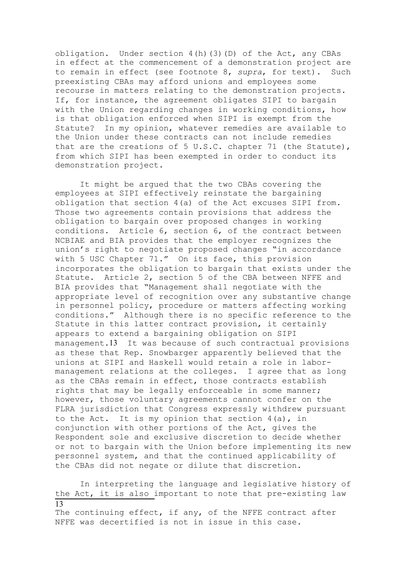obligation. Under section 4(h)(3)(D) of the Act, any CBAs in effect at the commencement of a demonstration project are to remain in effect (see footnote 8, *supra*, for text). Such preexisting CBAs may afford unions and employees some recourse in matters relating to the demonstration projects. If, for instance, the agreement obligates SIPI to bargain with the Union regarding changes in working conditions, how is that obligation enforced when SIPI is exempt from the Statute? In my opinion, whatever remedies are available to the Union under these contracts can not include remedies that are the creations of 5 U.S.C. chapter 71 (the Statute), from which SIPI has been exempted in order to conduct its demonstration project.

It might be argued that the two CBAs covering the employees at SIPI effectively reinstate the bargaining obligation that section 4(a) of the Act excuses SIPI from. Those two agreements contain provisions that address the obligation to bargain over proposed changes in working conditions. Article 6, section 6, of the contract between NCBIAE and BIA provides that the employer recognizes the union's right to negotiate proposed changes "in accordance with 5 USC Chapter 71." On its face, this provision incorporates the obligation to bargain that exists under the Statute. Article 2, section 5 of the CBA between NFFE and BIA provides that "Management shall negotiate with the appropriate level of recognition over any substantive change in personnel policy, procedure or matters affecting working conditions." Although there is no specific reference to the Statute in this latter contract provision, it certainly appears to extend a bargaining obligation on SIPI management.13 It was because of such contractual provisions as these that Rep. Snowbarger apparently believed that the unions at SIPI and Haskell would retain a role in labormanagement relations at the colleges. I agree that as long as the CBAs remain in effect, those contracts establish rights that may be legally enforceable in some manner; however, those voluntary agreements cannot confer on the FLRA jurisdiction that Congress expressly withdrew pursuant to the Act. It is my opinion that section 4(a), in conjunction with other portions of the Act, gives the Respondent sole and exclusive discretion to decide whether or not to bargain with the Union before implementing its new personnel system, and that the continued applicability of the CBAs did not negate or dilute that discretion.

In interpreting the language and legislative history of the Act, it is also important to note that pre-existing law 13

The continuing effect, if any, of the NFFE contract after NFFE was decertified is not in issue in this case.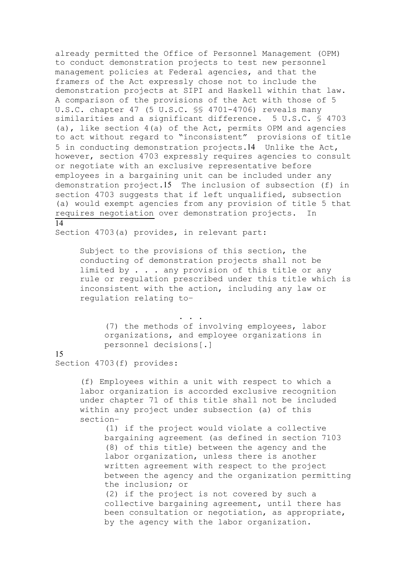already permitted the Office of Personnel Management (OPM) to conduct demonstration projects to test new personnel management policies at Federal agencies, and that the framers of the Act expressly chose not to include the demonstration projects at SIPI and Haskell within that law. A comparison of the provisions of the Act with those of 5 U.S.C. chapter 47 (5 U.S.C. §§ 4701-4706) reveals many similarities and a significant difference. 5 U.S.C. § 4703 (a), like section 4(a) of the Act, permits OPM and agencies to act without regard to "inconsistent" provisions of title 5 in conducting demonstration projects.14 Unlike the Act, however, section 4703 expressly requires agencies to consult or negotiate with an exclusive representative before employees in a bargaining unit can be included under any demonstration project.15 The inclusion of subsection (f) in section 4703 suggests that if left unqualified, subsection (a) would exempt agencies from any provision of title 5 that requires negotiation over demonstration projects. In

### $\overline{14}$

Section 4703(a) provides, in relevant part:

Subject to the provisions of this section, the conducting of demonstration projects shall not be limited by . . . any provision of this title or any rule or regulation prescribed under this title which is inconsistent with the action, including any law or regulation relating to–

(7) the methods of involving employees, labor organizations, and employee organizations in personnel decisions[.]

## 15

Section 4703(f) provides:

(f) Employees within a unit with respect to which a labor organization is accorded exclusive recognition under chapter 71 of this title shall not be included within any project under subsection (a) of this section–

(1) if the project would violate a collective bargaining agreement (as defined in section 7103 (8) of this title) between the agency and the labor organization, unless there is another written agreement with respect to the project between the agency and the organization permitting the inclusion; or

(2) if the project is not covered by such a collective bargaining agreement, until there has been consultation or negotiation, as appropriate, by the agency with the labor organization.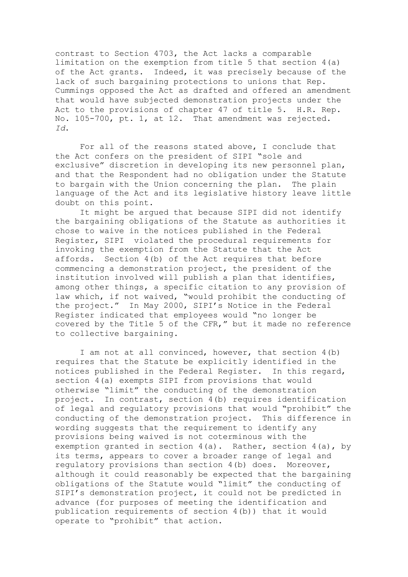contrast to Section 4703, the Act lacks a comparable limitation on the exemption from title 5 that section 4(a) of the Act grants. Indeed, it was precisely because of the lack of such bargaining protections to unions that Rep. Cummings opposed the Act as drafted and offered an amendment that would have subjected demonstration projects under the Act to the provisions of chapter 47 of title 5. H.R. Rep. No. 105-700, pt. 1, at 12. That amendment was rejected. *Id*.

For all of the reasons stated above, I conclude that the Act confers on the president of SIPI "sole and exclusive" discretion in developing its new personnel plan, and that the Respondent had no obligation under the Statute to bargain with the Union concerning the plan. The plain language of the Act and its legislative history leave little doubt on this point.

It might be argued that because SIPI did not identify the bargaining obligations of the Statute as authorities it chose to waive in the notices published in the Federal Register, SIPI violated the procedural requirements for invoking the exemption from the Statute that the Act affords. Section 4(b) of the Act requires that before commencing a demonstration project, the president of the institution involved will publish a plan that identifies, among other things, a specific citation to any provision of law which, if not waived, "would prohibit the conducting of the project." In May 2000, SIPI's Notice in the Federal Register indicated that employees would "no longer be covered by the Title 5 of the CFR," but it made no reference to collective bargaining.

I am not at all convinced, however, that section 4(b) requires that the Statute be explicitly identified in the notices published in the Federal Register. In this regard, section 4(a) exempts SIPI from provisions that would otherwise "limit" the conducting of the demonstration project. In contrast, section 4(b) requires identification of legal and regulatory provisions that would "prohibit" the conducting of the demonstration project. This difference in wording suggests that the requirement to identify any provisions being waived is not coterminous with the exemption granted in section 4(a). Rather, section 4(a), by its terms, appears to cover a broader range of legal and regulatory provisions than section 4(b) does. Moreover, although it could reasonably be expected that the bargaining obligations of the Statute would "limit" the conducting of SIPI's demonstration project, it could not be predicted in advance (for purposes of meeting the identification and publication requirements of section 4(b)) that it would operate to "prohibit" that action.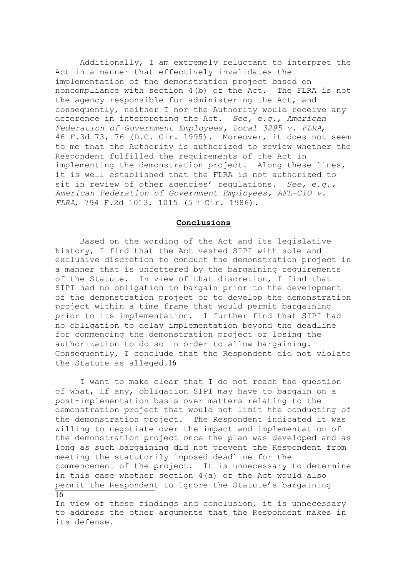Additionally, I am extremely reluctant to interpret the Act in a manner that effectively invalidates the implementation of the demonstration project based on noncompliance with section 4(b) of the Act. The FLRA is not the agency responsible for administering the Act, and consequently, neither I nor the Authority would receive any deference in interpreting the Act. *See, e.g.*, *American Federation of Government Employees, Local 3295 v. FLRA*, 46 F.3d 73, 76 (D.C. Cir. 1995). Moreover, it does not seem to me that the Authority is authorized to review whether the Respondent fulfilled the requirements of the Act in implementing the demonstration project. Along these lines, it is well established that the FLRA is not authorized to sit in review of other agencies' regulations. *See, e.g., American Federation of Government Employees, AFL-CIO v. FLRA*, 794 F.2d 1013, 1015 (5<sup>th</sup> Cir. 1986).

## **Conclusions**

Based on the wording of the Act and its legislative history, I find that the Act vested SIPI with sole and exclusive discretion to conduct the demonstration project in a manner that is unfettered by the bargaining requirements of the Statute. In view of that discretion, I find that SIPI had no obligation to bargain prior to the development of the demonstration project or to develop the demonstration project within a time frame that would permit bargaining prior to its implementation. I further find that SIPI had no obligation to delay implementation beyond the deadline for commencing the demonstration project or losing the authorization to do so in order to allow bargaining. Consequently, I conclude that the Respondent did not violate the Statute as alleged.16

I want to make clear that I do not reach the question of what, if any, obligation SIPI may have to bargain on a post-implementation basis over matters relating to the demonstration project that would not limit the conducting of the demonstration project. The Respondent indicated it was willing to negotiate over the impact and implementation of the demonstration project once the plan was developed and as long as such bargaining did not prevent the Respondent from meeting the statutorily imposed deadline for the commencement of the project. It is unnecessary to determine in this case whether section 4(a) of the Act would also permit the Respondent to ignore the Statute's bargaining 16

In view of these findings and conclusion, it is unnecessary to address the other arguments that the Respondent makes in its defense.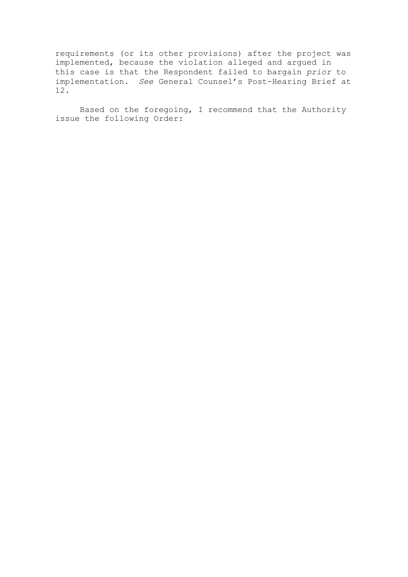requirements (or its other provisions) after the project was implemented, because the violation alleged and argued in this case is that the Respondent failed to bargain *prior* to implementation. *See* General Counsel's Post-Hearing Brief at 12.

Based on the foregoing, I recommend that the Authority issue the following Order: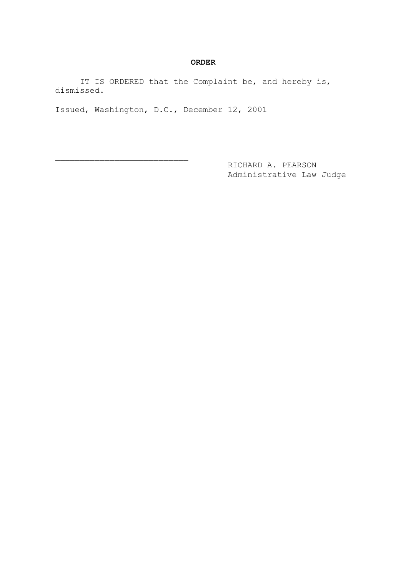### **ORDER**

IT IS ORDERED that the Complaint be, and hereby is, dismissed.

Issued, Washington, D.C., December 12, 2001

 $\overline{\phantom{a}}$  , where  $\overline{\phantom{a}}$  , where  $\overline{\phantom{a}}$  , where  $\overline{\phantom{a}}$  ,  $\overline{\phantom{a}}$  ,  $\overline{\phantom{a}}$  ,  $\overline{\phantom{a}}$  ,  $\overline{\phantom{a}}$  ,  $\overline{\phantom{a}}$  ,  $\overline{\phantom{a}}$  ,  $\overline{\phantom{a}}$  ,  $\overline{\phantom{a}}$  ,  $\overline{\phantom{a}}$  ,  $\overline{\phantom{a}}$  ,  $\overline{\phantom$ 

 RICHARD A. PEARSON Administrative Law Judge